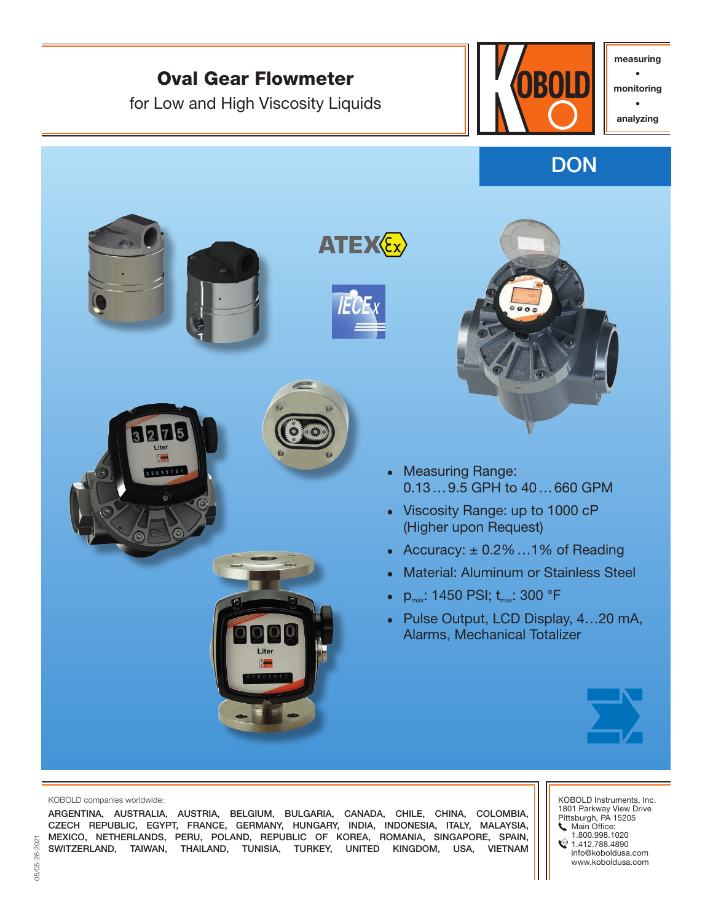

#### KOBOLD companies worldwide:

ARGENTINA, AUSTRALIA, AUSTRIA, BELGIUM, BULGARIA, CANADA, CHILE, CHINA, COLOMBIA, CZECH REPUBLIC, EGYPT, FRANCE, GERMANY, HUNGARY, INDIA, INDONESIA, ITALY, MALAYSIA, MEXICO, NETHERLANDS, PERU, POLAND, REPUBLIC OF KOREA, ROMANIA, SINGAPORE, SPAIN, SWITZERLAND, TAIWAN, THAILAND, TUNISIA, TURKEY, UNITED KINGDOM, USA, VIETNAM

KOBOLD Instruments, Inc. 1801 Parkway View Drive Pittsburgh, PA 15205 **Main Office:** 1.800.998.1020

 $21.412.788.4890$ info@koboldusa.com www.koboldusa.com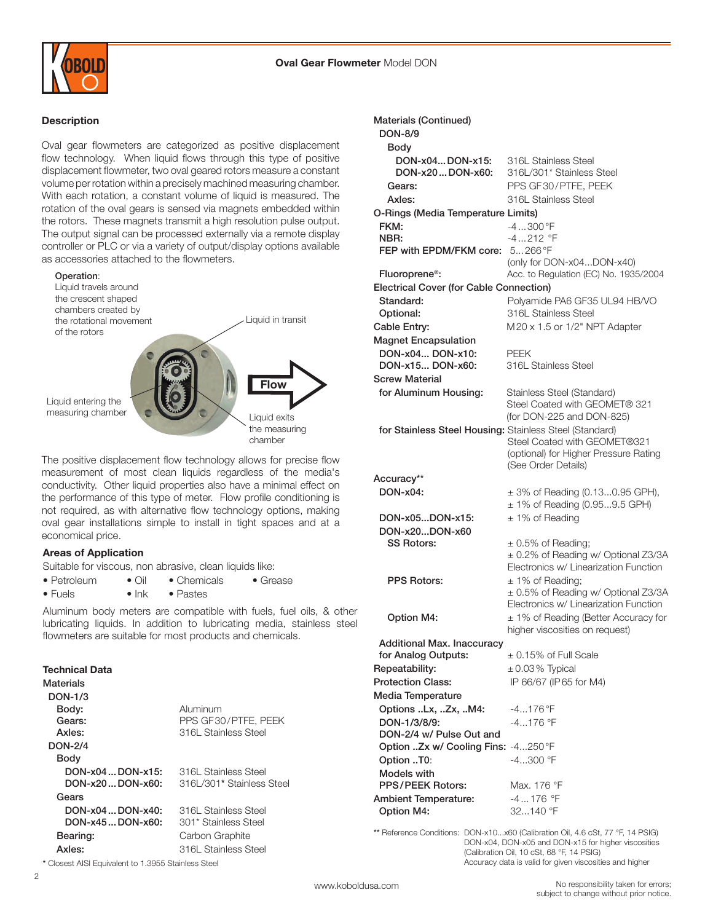

# Description

Oval gear flowmeters are categorized as positive displacement flow technology. When liquid flows through this type of positive displacement flowmeter, two oval geared rotors measure a constant volume per rotation within a precisely machined measuring chamber. With each rotation, a constant volume of liquid is measured. The rotation of the oval gears is sensed via magnets embedded within the rotors. These magnets transmit a high resolution pulse output. The output signal can be processed externally via a remote display controller or PLC or via a variety of output/display options available as accessories attached to the flowmeters.



The positive displacement flow technology allows for precise flow measurement of most clean liquids regardless of the media's conductivity. Other liquid properties also have a minimal effect on the performance of this type of meter. Flow profile conditioning is not required, as with alternative flow technology options, making oval gear installations simple to install in tight spaces and at a economical price.

#### Areas of Application

Suitable for viscous, non abrasive, clean liquids like:

- Petroleum Oil Chemicals Grease
- Fuels Ink Pastes

Aluminum body meters are compatible with fuels, fuel oils, & other lubricating liquids. In addition to lubricating media, stainless steel flowmeters are suitable for most products and chemicals.

#### Technical Data

| Materials<br><b>DON-1/3</b> |                           |
|-----------------------------|---------------------------|
| Body:                       | Aluminum                  |
| Gears:                      | PPS GF30/PTFE, PEEK       |
| Axles:                      | 316L Stainless Steel      |
| <b>DON-2/4</b>              |                           |
| Body                        |                           |
| $DOM-x04$ $DOM-x15$ :       | 316L Stainless Steel      |
| $DOM-x20$ $DOM-x60:$        | 316L/301* Stainless Steel |
| Gears                       |                           |
| $DON-x04$ $DON-x40:$        | 316L Stainless Steel      |
| $DOM-x45$ $DOM-x60:$        | 301* Stainless Steel      |
| Bearing:                    | Carbon Graphite           |
| Axles:                      | 316L Stainless Steel      |

\* Closest AISI Equivalent to 1.3955 Stainless Steel

 $\overline{2}$ 

| <b>Materials (Continued)</b>                            |                                                                              |
|---------------------------------------------------------|------------------------------------------------------------------------------|
| <b>DON-8/9</b>                                          |                                                                              |
| Body                                                    |                                                                              |
| DON-x04DON-x15:<br>DON-x20DON-x60:                      | 316L Stainless Steel<br>316L/301* Stainless Steel                            |
| Gears:                                                  | PPS GF30/PTFE, PEEK                                                          |
| Axles:                                                  | 316L Stainless Steel                                                         |
| O-Rings (Media Temperature Limits)                      |                                                                              |
| FKM:                                                    | $-4300$ °F                                                                   |
| NBR:                                                    | -4212 °F                                                                     |
| FEP with EPDM/FKM core:                                 | $5266^{\circ}F$                                                              |
|                                                         | (only for DON-x04DON-x40)                                                    |
| Fluoroprene <sup>®</sup> :                              | Acc. to Regulation (EC) No. 1935/2004                                        |
| <b>Electrical Cover (for Cable Connection)</b>          |                                                                              |
| Standard:                                               | Polyamide PA6 GF35 UL94 HB/VO                                                |
| Optional:                                               | 316L Stainless Steel                                                         |
| Cable Entry:                                            | M20 x 1.5 or 1/2" NPT Adapter                                                |
| <b>Magnet Encapsulation</b>                             |                                                                              |
| DON-x04 DON-x10:<br>DON-x15 DON-x60:                    | <b>PEEK</b><br>316L Stainless Steel                                          |
| <b>Screw Material</b>                                   |                                                                              |
| for Aluminum Housing:                                   | Stainless Steel (Standard)                                                   |
|                                                         | Steel Coated with GEOMET® 321                                                |
|                                                         | (for DON-225 and DON-825)                                                    |
| for Stainless Steel Housing: Stainless Steel (Standard) |                                                                              |
|                                                         | Steel Coated with GEOMET®321                                                 |
|                                                         | (optional) for Higher Pressure Rating                                        |
|                                                         | (See Order Details)                                                          |
|                                                         |                                                                              |
| Accuracy**                                              |                                                                              |
| DON-x04:                                                | $\pm$ 3% of Reading (0.130.95 GPH),<br>± 1% of Reading (0.959.5 GPH)         |
| DON-x05DON-x15:                                         | $± 1\%$ of Reading                                                           |
| DON-x20DON-x60                                          |                                                                              |
| <b>SS Rotors:</b>                                       | $\pm$ 0.5% of Reading;                                                       |
|                                                         | ± 0.2% of Reading w/ Optional Z3/3A                                          |
|                                                         | Electronics w/ Linearization Function                                        |
| <b>PPS Rotors:</b>                                      | $± 1\%$ of Reading;                                                          |
|                                                         | ± 0.5% of Reading w/ Optional Z3/3A<br>Electronics w/ Linearization Function |
| <b>Option M4:</b>                                       | ± 1% of Reading (Better Accuracy for                                         |
|                                                         | higher viscosities on request)                                               |
| <b>Additional Max. Inaccuracy</b>                       |                                                                              |
| for Analog Outputs:                                     | $\pm$ 0.15% of Full Scale                                                    |
| Repeatability:                                          | $\pm$ 0.03 % Typical                                                         |
| <b>Protection Class:</b>                                | IP 66/67 (IP 65 for M4)                                                      |
| <b>Media Temperature</b>                                |                                                                              |
| Options Lx, Zx, M4:                                     | $-4176$ °F                                                                   |
| DON-1/3/8/9:                                            | $-4176$ °F                                                                   |
| DON-2/4 w/ Pulse Out and                                |                                                                              |
| Option Zx w/ Cooling Fins: -4250°F                      | $-4300$ °F                                                                   |
| Option T0:<br>Models with                               |                                                                              |
| PPS/PEEK Rotors:                                        | Max. 176 °F                                                                  |
| <b>Ambient Temperature:</b>                             | $-4176$ °F                                                                   |
| Option M4:                                              | 32140 °F                                                                     |

DON-x04, DON-x05 and DON-x15 for higher viscosities (Calibration Oil, 10 cSt, 68 °F, 14 PSIG) Accuracy data is valid for given viscosities and higher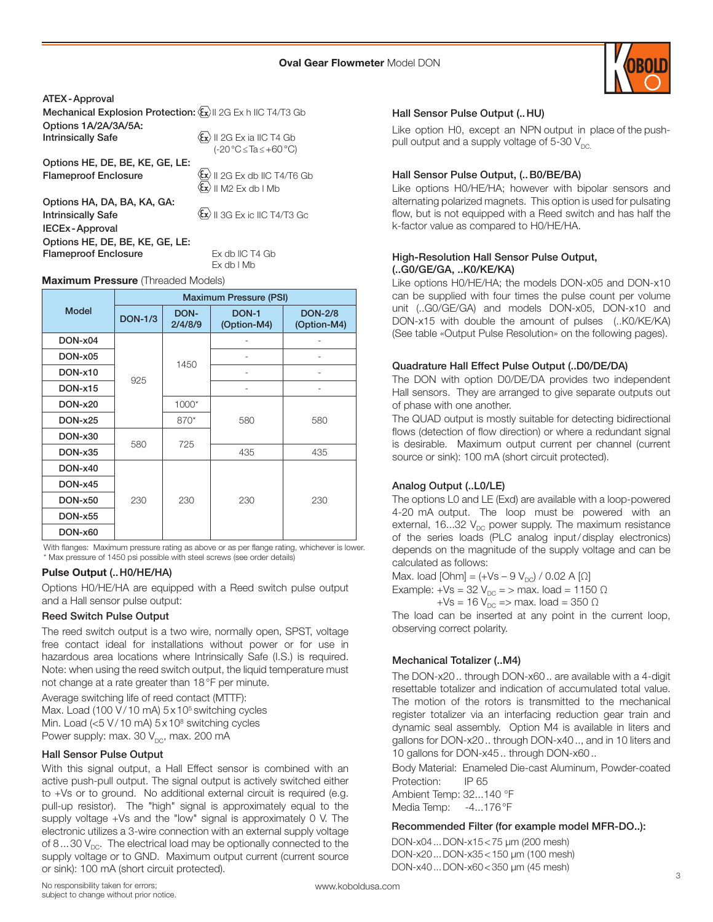

ATEX-Approval Mechanical Explosion Protection:  $\langle \overline{\xi_x} \rangle$  2G Ex h IIC T4/T3 Gb Options 1A/2A/3A/5A: **Intrinsically Safe**  $\langle x \rangle$  II 2G Ex ia IIC T4 Gb (-20°C≤Ta≤+60°C) Options HE, DE, BE, KE, GE, LE: **Flameproof Enclosure**  $\langle x \rangle$  || 2G Ex db || C T4/T6 Gb  $\langle \mathbf{\hat{x}} \rangle$  II M2 Ex db I Mb Options HA, DA, BA, KA, GA: **Intrinsically Safe**  $\left\{ \frac{1}{x} \right\}$  II 3G Ex ic IIC T4/T3 Gc IECEx-Approval

Options HE, DE, BE, KE, GE, LE: Flameproof Enclosure Ex db IIC T4 Gb

Ex db l Mb

#### Maximum Pressure (Threaded Models)

|                | <b>Maximum Pressure (PSI)</b> |                 |                      |                               |  |  |  |
|----------------|-------------------------------|-----------------|----------------------|-------------------------------|--|--|--|
| <b>Model</b>   | <b>DON-1/3</b>                | DON-<br>2/4/8/9 | DON-1<br>(Option-M4) | <b>DON-2/8</b><br>(Option-M4) |  |  |  |
| DON-x04        |                               |                 |                      |                               |  |  |  |
| DON-x05        |                               | 1450            |                      |                               |  |  |  |
| <b>DON-x10</b> | 925                           |                 |                      |                               |  |  |  |
| <b>DON-x15</b> |                               |                 |                      |                               |  |  |  |
| <b>DON-x20</b> |                               | 1000*           |                      | 580                           |  |  |  |
| <b>DON-x25</b> |                               | 870*            | 580                  |                               |  |  |  |
| DON-x30        | 580                           | 725             |                      |                               |  |  |  |
| <b>DON-x35</b> |                               |                 | 435                  | 435                           |  |  |  |
| <b>DON-x40</b> |                               |                 |                      |                               |  |  |  |
| <b>DON-x45</b> |                               | 230             | 230                  | 230                           |  |  |  |
| <b>DON-x50</b> | 230                           |                 |                      |                               |  |  |  |
| <b>DON-x55</b> |                               |                 |                      |                               |  |  |  |
| DON-x60        |                               |                 |                      |                               |  |  |  |

With flanges: Maximum pressure rating as above or as per flange rating, whichever is lower. \* Max pressure of 1450 psi possible with steel screws (see order details)

#### Pulse Output (..H0/HE/HA)

Options H0/HE/HA are equipped with a Reed switch pulse output and a Hall sensor pulse output:

#### Reed Switch Pulse Output

The reed switch output is a two wire, normally open, SPST, voltage free contact ideal for installations without power or for use in hazardous area locations where Intrinsically Safe (I.S.) is required. Note: when using the reed switch output, the liquid temperature must not change at a rate greater than 18°F per minute.

Average switching life of reed contact (MTTF): Max. Load (100 V/10 mA) 5x10<sup>5</sup> switching cycles Min. Load (<5 V/10 mA) 5x10<sup>8</sup> switching cycles Power supply: max. 30  $V_{DC}$ , max. 200 mA

#### Hall Sensor Pulse Output

With this signal output, a Hall Effect sensor is combined with an active push-pull output. The signal output is actively switched either to +Vs or to ground. No additional external circuit is required (e.g. pull-up resistor). The "high" signal is approximately equal to the supply voltage +Vs and the "low" signal is approximately 0 V. The electronic utilizes a 3-wire connection with an external supply voltage of 8...30  $V_{DC}$ . The electrical load may be optionally connected to the supply voltage or to GND. Maximum output current (current source or sink): 100 mA (short circuit protected).

### Hall Sensor Pulse Output (..HU)

Like option H0, except an NPN output in place of the pushpull output and a supply voltage of 5-30  $V_{DC}$ 

#### Hall Sensor Pulse Output, (..B0/BE/BA)

Like options H0/HE/HA; however with bipolar sensors and alternating polarized magnets. This option is used for pulsating flow, but is not equipped with a Reed switch and has half the k-factor value as compared to H0/HE/HA.

#### High-Resolution Hall Sensor Pulse Output, (..G0/GE/GA, ..K0/KE/KA)

Like options H0/HE/HA; the models DON-x05 and DON-x10 can be supplied with four times the pulse count per volume unit (..G0/GE/GA) and models DON-x05, DON-x10 and DON-x15 with double the amount of pulses (..K0/KE/KA) (See table «Output Pulse Resolution» on the following pages).

#### Quadrature Hall Effect Pulse Output (..D0/DE/DA)

The DON with option D0/DE/DA provides two independent Hall sensors. They are arranged to give separate outputs out of phase with one another.

The QUAD output is mostly suitable for detecting bidirectional flows (detection of flow direction) or where a redundant signal is desirable. Maximum output current per channel (current source or sink): 100 mA (short circuit protected).

#### Analog Output (..L0/LE)

The options L0 and LE (Exd) are available with a loop-powered 4-20 mA output. The loop must be powered with an external, 16...32  $V_{DC}$  power supply. The maximum resistance of the series loads (PLC analog input/display electronics) depends on the magnitude of the supply voltage and can be calculated as follows:

Max. load  $[Ohm] = (+Vs - 9 V_{DC}) / 0.02 A [\Omega]$ 

Example: +Vs = 32 V<sub>DC</sub> = > max. load = 1150  $\Omega$ 

 $+Vs = 16 V_{DC}$  => max. load = 350 Ω

The load can be inserted at any point in the current loop, observing correct polarity.

#### Mechanical Totalizer (..M4)

The DON-x20.. through DON-x60.. are available with a 4-digit resettable totalizer and indication of accumulated total value. The motion of the rotors is transmitted to the mechanical register totalizer via an interfacing reduction gear train and dynamic seal assembly. Option M4 is available in liters and gallons for DON-x20.. through DON-x40.., and in 10 liters and 10 gallons for DON-x45.. through DON-x60..

Body Material: Enameled Die-cast Aluminum, Powder-coated Protection: IP 65

Ambient Temp: 32...140 °F Media Temp: -4...176°F

#### Recommended Filter (for example model MFR-DO..):

DON-x04...DON-x15<75 μm (200 mesh) DON-x20...DON-x35<150 μm (100 mesh) DON-x40...DON-x60<350 μm (45 mesh)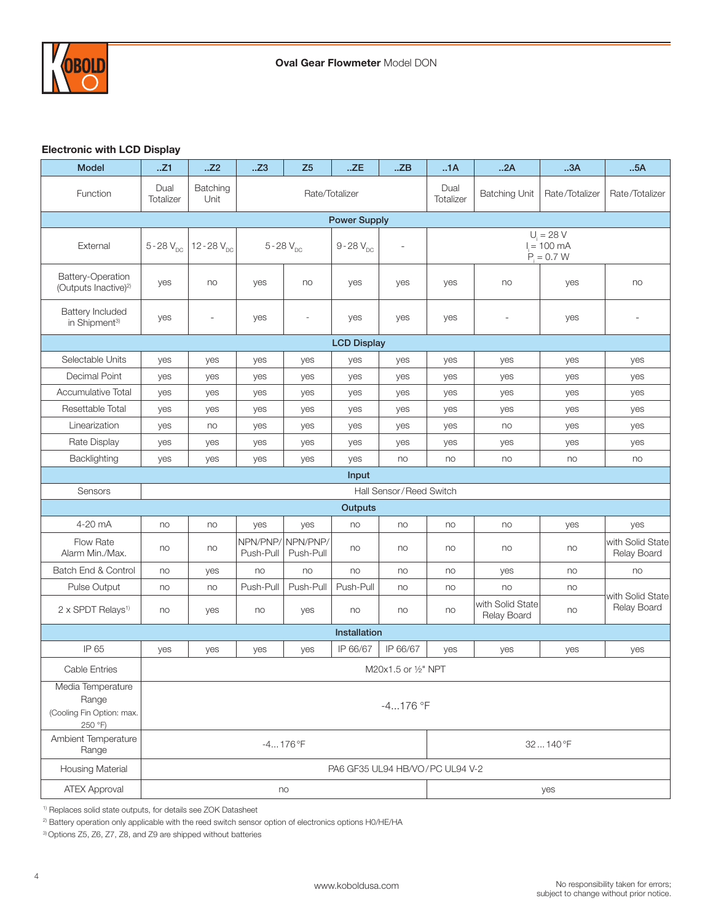

# Electronic with LCD Display

| <b>Model</b>                                                       | .Z1                      | .Z2                                | Z3                    | Z <sub>5</sub>        | .ZE                             | ZB                       | 1A                   | 2A                              | 3A                                            | 5A                              |
|--------------------------------------------------------------------|--------------------------|------------------------------------|-----------------------|-----------------------|---------------------------------|--------------------------|----------------------|---------------------------------|-----------------------------------------------|---------------------------------|
| Function                                                           | Dual<br><b>Totalizer</b> | Batching<br>Rate/Totalizer<br>Unit |                       |                       |                                 | Dual<br>Totalizer        | <b>Batching Unit</b> | Rate/Totalizer                  | Rate/Totalizer                                |                                 |
| <b>Power Supply</b>                                                |                          |                                    |                       |                       |                                 |                          |                      |                                 |                                               |                                 |
| External                                                           | $5 - 28 V_{DC}$          | 12 - 28 $V_{\text{nc}}$            |                       | $5 - 28 V_{DC}$       | $9 - 28 V_{DC}$                 | $\overline{\phantom{a}}$ |                      |                                 | $U_i = 28 V$<br>$I = 100$ mA<br>$P_i = 0.7 W$ |                                 |
| Battery-Operation<br>(Outputs Inactive) <sup>2)</sup>              | yes                      | no                                 | yes                   | no                    | yes                             | yes                      | yes                  | no                              | yes                                           | no                              |
| <b>Battery Included</b><br>in Shipment <sup>3)</sup>               | yes                      | $\overline{\phantom{a}}$           | yes                   | $\overline{a}$        | yes                             | yes                      | yes                  | $\overline{\phantom{a}}$        | yes                                           | $\overline{a}$                  |
|                                                                    |                          |                                    |                       |                       | <b>LCD Display</b>              |                          |                      |                                 |                                               |                                 |
| Selectable Units                                                   | yes                      | yes                                | yes                   | yes                   | yes                             | yes                      | yes                  | yes                             | yes                                           | yes                             |
| Decimal Point                                                      | yes                      | yes                                | yes                   | yes                   | yes                             | yes                      | yes                  | yes                             | yes                                           | yes                             |
| Accumulative Total                                                 | yes                      | yes                                | yes                   | yes                   | yes                             | yes                      | yes                  | yes                             | yes                                           | yes                             |
| Resettable Total                                                   | yes                      | yes                                | yes                   | yes                   | yes                             | yes                      | yes                  | yes                             | yes                                           | yes                             |
| Linearization                                                      | yes                      | no                                 | yes                   | yes                   | yes                             | yes                      | yes                  | no                              | yes                                           | yes                             |
| Rate Display                                                       | yes                      | yes                                | yes                   | yes                   | yes                             | yes                      | yes                  | yes                             | yes                                           | yes                             |
| Backlighting                                                       | yes                      | yes                                | yes                   | yes                   | yes                             | no                       | no                   | no                              | no                                            | no                              |
|                                                                    |                          |                                    |                       |                       | Input                           |                          |                      |                                 |                                               |                                 |
| Sensors                                                            |                          |                                    |                       |                       |                                 | Hall Sensor/Reed Switch  |                      |                                 |                                               |                                 |
|                                                                    |                          |                                    |                       |                       | Outputs                         |                          |                      |                                 |                                               |                                 |
| 4-20 mA                                                            | no                       | no                                 | yes                   | yes                   | no                              | no                       | no                   | no                              | yes                                           | yes                             |
| Flow Rate<br>Alarm Min./Max.                                       | no                       | no                                 | NPN/PNP/<br>Push-Pull | NPN/PNP/<br>Push-Pull | no                              | no                       | no                   | no                              | no                                            | with Solid State<br>Relay Board |
| Batch End & Control                                                | no                       | yes                                | no                    | no                    | no                              | no                       | no                   | yes                             | no                                            | no                              |
| <b>Pulse Output</b>                                                | no                       | no                                 | Push-Pull             | Push-Pull             | Push-Pull                       | no                       | no                   | no                              | no                                            | with Solid State                |
| 2 x SPDT Relays <sup>1)</sup>                                      | no                       | yes                                | no                    | yes                   | no                              | no                       | no                   | with Solid State<br>Relay Board | no                                            | Relay Board                     |
|                                                                    |                          |                                    |                       |                       | Installation                    |                          |                      |                                 |                                               |                                 |
| IP 65                                                              | yes                      | yes                                | yes                   | yes                   | IP 66/67                        | IP 66/67                 | yes                  | yes                             | yes                                           | yes                             |
| Cable Entries                                                      |                          |                                    |                       |                       |                                 | M20x1.5 or 1/2" NPT      |                      |                                 |                                               |                                 |
| Media Temperature<br>Range<br>(Cooling Fin Option: max.<br>250 °F) | $-4176$ °F               |                                    |                       |                       |                                 |                          |                      |                                 |                                               |                                 |
| Ambient Temperature<br>Range                                       | $-4176$ °F<br>32140°F    |                                    |                       |                       |                                 |                          |                      |                                 |                                               |                                 |
| Housing Material                                                   |                          |                                    |                       |                       | PA6 GF35 UL94 HB/VO/PC UL94 V-2 |                          |                      |                                 |                                               |                                 |
| <b>ATEX Approval</b>                                               | no<br>yes                |                                    |                       |                       |                                 |                          |                      |                                 |                                               |                                 |

1) Replaces solid state outputs, for details see ZOK Datasheet

2) Battery operation only applicable with the reed switch sensor option of electronics options H0/HE/HA

3) Options Z5, Z6, Z7, Z8, and Z9 are shipped without batteries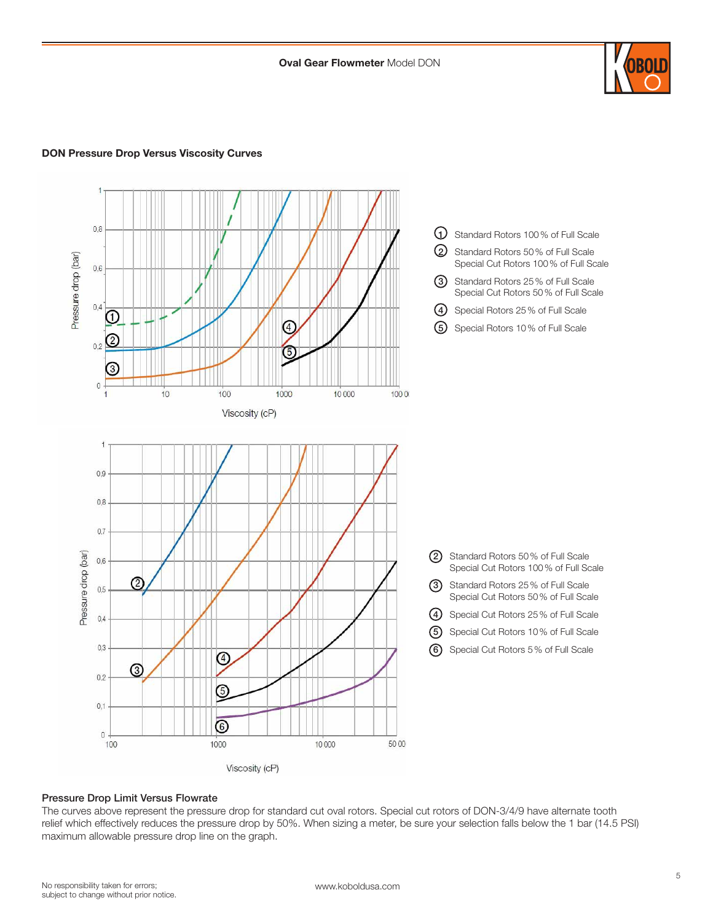

# DON Pressure Drop Versus Viscosity Curves



#### Pressure Drop Limit Versus Flowrate

The curves above represent the pressure drop for standard cut oval rotors. Special cut rotors of DON-3/4/9 have alternate tooth relief which effectively reduces the pressure drop by 50%. When sizing a meter, be sure your selection falls below the 1 bar (14.5 PSI) maximum allowable pressure drop line on the graph.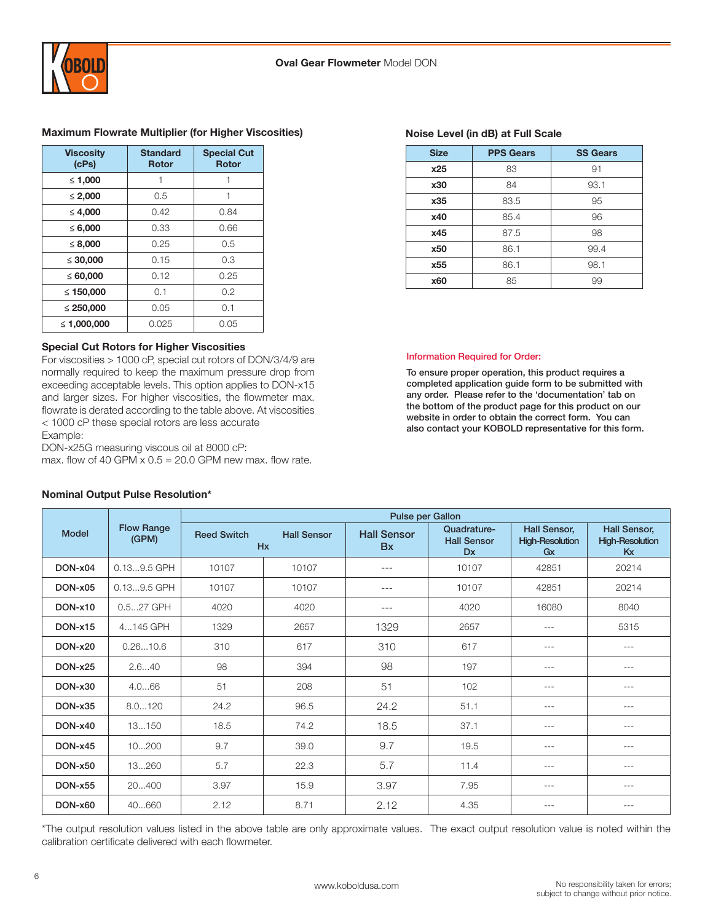

#### Maximum Flowrate Multiplier (for Higher Viscosities)

| <b>Viscosity</b><br>(cPs) | <b>Standard</b><br><b>Rotor</b> | <b>Special Cut</b><br><b>Rotor</b> |
|---------------------------|---------------------------------|------------------------------------|
| ≤ 1,000                   |                                 |                                    |
| $\leq 2,000$              | 0.5                             |                                    |
| $\leq 4,000$              | 0.42                            | 0.84                               |
| $\le 6,000$               | 0.33                            | 0.66                               |
| $\leq 8,000$              | 0.25                            | 0.5                                |
| $\leq 30,000$             | 0.15                            | 0.3                                |
| $\leq 60,000$             | 0.12                            | 0.25                               |
| ≤ 150,000                 | 0.1                             | 0.2                                |
| $\leq 250,000$            | 0.05                            | 0.1                                |
| ≤ 1.000.000               | 0.025                           | 0.05                               |

#### Special Cut Rotors for Higher Viscosities

For viscosities > 1000 cP, special cut rotors of DON/3/4/9 are normally required to keep the maximum pressure drop from exceeding acceptable levels. This option applies to DON-x15 and larger sizes. For higher viscosities, the flowmeter max. flowrate is derated according to the table above. At viscosities < 1000 cP these special rotors are less accurate Example:

DON-x25G measuring viscous oil at 8000 cP:

max. flow of 40 GPM  $\times$  0.5 = 20.0 GPM new max. flow rate.

| <b>ICL<sub>2</sub></b> | ושוטח                   | וטוטח                   |
|------------------------|-------------------------|-------------------------|
| ≤ 1,000                |                         |                         |
| $\leq 2,000$           | 0.5                     |                         |
| $\leq 4,000$           | 0.42                    | 0.84                    |
| $\le 6,000$            | 0.33                    | 0.66                    |
| $\leq 8,000$           | 0.25                    | 0.5                     |
| $\leq 30,000$          | 0.15                    | 0.3                     |
| $\leq 60,000$          | 0.12                    | 0.25                    |
| ≤ 150,000              | 0.1                     | 0.2                     |
| ≤ 250,000              | 0.05                    | 0.1                     |
| > 4.000,000            | $\cap$ $\cap$ $\subset$ | $\cap$ $\cap$ $\subset$ |

#### Model Flow Range (GPM) Pulse per Gallon Reed Switch Hall Sensor Hx Hall Sensor Bx Quadrature-Hall Sensor Dx Hall Sensor, High-Resolution Gx Hall Sensor, High-Resolution Kx **DON-x04** 0.13...9.5 GPH 10107 10107 10107 --- 10107 10107 42851 20214 DON-x05 0.13...9.5 GPH 10107 10107 --- 10107 42851 20214 **DON-x10** | 0.5...27 GPH | 4020 | 4020 | --- | 4020 | 16080 | 8040 **DON-x15** | 4...145 GPH | 1329 | 2657 | 1329 | 2657 | --- | 5315 DON-x20 0.26...10.6 310 617 310 617 --- --- **DON-x25** | 2.6...40 | 98 | 394 | 98 | 197 | --- | ---**DON-x30** | 4.0...66 | 51 | 208 | 51 | 102 | --- | ---**DON-x35 |** 8.0...120 | 24.2 | 96.5 | 24.2 | 51.1 | --- | ---**DON-x40 |** 13...150 | 18.5 | 74.2 | 18.5 | 37.1 | --- | ---DON-x45 10...200 9.7 39.0 9.7 19.5 --- --- **DON-x50 |** 13...260 | 5.7 | 22.3 | 5.7 | 11.4 | --- | ---**DON-x55 |** 20...400 | 3.97 | 15.9 | 3.97 | 7.95 | --- | ---**DON-x60** 40...660 2.12 8.71 2.12 4.35 <del>--</del> --- ---

# Nominal Output Pulse Resolution\*

\*The output resolution values listed in the above table are only approximate values. The exact output resolution value is noted within the calibration certificate delivered with each flowmeter.

#### Noise Level (in dB) at Full Scale

| <b>Size</b> | <b>PPS Gears</b> | <b>SS Gears</b> |
|-------------|------------------|-----------------|
| x25         | 83               | 91              |
| x30         | 84               | 93.1            |
| x35         | 83.5             | 95              |
| x40         | 85.4             | 96              |
| x45         | 87.5             | 98              |
| x50         | 86.1             | 99.4            |
| x55         | 86.1             | 98.1            |
| x60         | 85               | 99              |

#### Information Required for Order:

To ensure proper operation, this product requires a completed application guide form to be submitted with any order. Please refer to the 'documentation' tab on the bottom of the product page for this product on our website in order to obtain the correct form. You can also contact your KOBOLD representative for this form.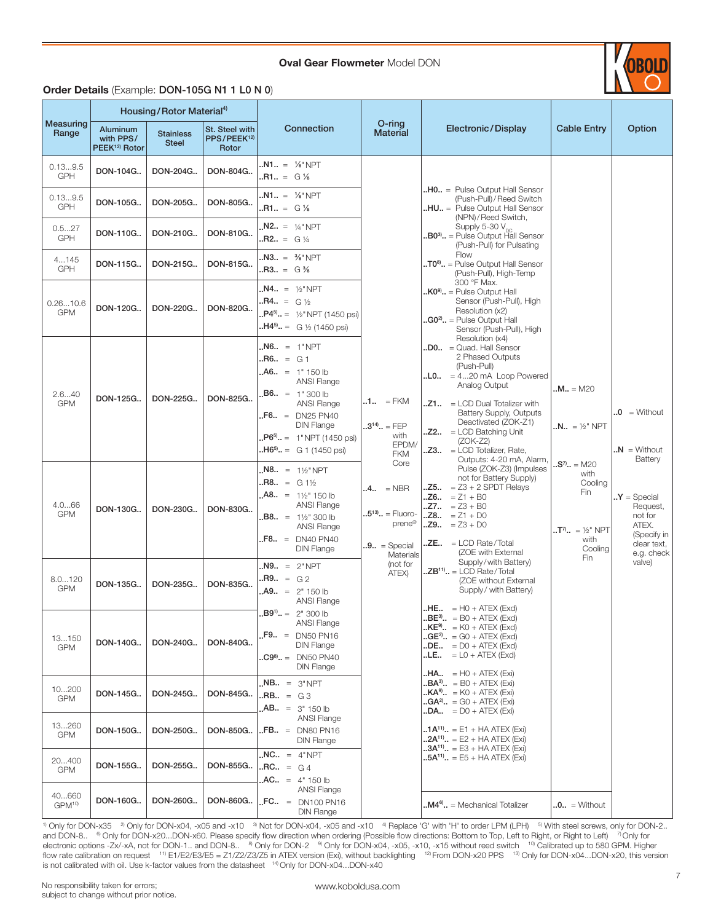**Oval Gear Flowmeter Model DON** 



# Order Details (Example: DON-105G N1 1 L0 N 0)

|                             |                                                    | Housing/Rotor Material <sup>4)</sup> |                                                           |                                                                                                                                                                                                                      |                                                                                             |                                                                                                                                                                                                                                                                                                                                          |                                                                                   |                                                                                           |
|-----------------------------|----------------------------------------------------|--------------------------------------|-----------------------------------------------------------|----------------------------------------------------------------------------------------------------------------------------------------------------------------------------------------------------------------------|---------------------------------------------------------------------------------------------|------------------------------------------------------------------------------------------------------------------------------------------------------------------------------------------------------------------------------------------------------------------------------------------------------------------------------------------|-----------------------------------------------------------------------------------|-------------------------------------------------------------------------------------------|
| Measuring<br>Range          | Aluminum<br>with PPS/<br>PEEK <sup>12)</sup> Rotor | <b>Stainless</b><br><b>Steel</b>     | <b>St. Steel with</b><br>PPS/PEEK <sup>12)</sup><br>Rotor | Connection                                                                                                                                                                                                           | $O$ -ring<br><b>Material</b>                                                                | Electronic/Display                                                                                                                                                                                                                                                                                                                       | <b>Cable Entry</b>                                                                | Option                                                                                    |
| 0.139.5<br><b>GPH</b>       | DON-104G                                           | DON-204G                             | DON-804G                                                  | $.N1 = \frac{1}{8} \text{ NPT}$<br>$.R1. = G \%$                                                                                                                                                                     |                                                                                             |                                                                                                                                                                                                                                                                                                                                          |                                                                                   |                                                                                           |
| 0.139.5<br><b>GPH</b>       | DON-105G                                           | DON-205G                             | DON-805G                                                  | $.M1 = \% "NPT"$<br>$.R1 = G\%$                                                                                                                                                                                      |                                                                                             | $.H0. =$ Pulse Output Hall Sensor<br>(Push-Pull) / Reed Switch<br>HU = Pulse Output Hall Sensor<br>(NPN)/Reed Switch,                                                                                                                                                                                                                    |                                                                                   |                                                                                           |
| 0.527<br><b>GPH</b>         | DON-110G                                           | DON-210G                             | DON-810G                                                  | $M2.1 = 1/4$ " NPT<br>$.B. - 5 = 6\frac{1}{4}$                                                                                                                                                                       |                                                                                             | Supply 5-30 V <sub>pc</sub><br><b>B03)</b> = Pulse Output Hall Sensor.<br>(Push-Pull) for Pulsating                                                                                                                                                                                                                                      |                                                                                   |                                                                                           |
| 4145<br>GPH                 | DON-115G                                           | DON-215G                             | DON-815G                                                  | $MS = %NPT$<br>$.R3 = G\%$                                                                                                                                                                                           |                                                                                             | Flow<br>$.70$ <sup>8)</sup> $. =$ Pulse Output Hall Sensor<br>(Push-Pull), High-Temp<br>300 °F Max.                                                                                                                                                                                                                                      |                                                                                   |                                                                                           |
| 0.2610.6<br><b>GPM</b>      | DON-120G                                           | DON-220G                             | DON-820G                                                  | $M4 = 1/2$ " NPT<br>$.B4. = G \frac{1}{2}$<br>$P4^{5} = \frac{1}{2}NPT(1450 \text{ psi})$<br>$.H45. = G \frac{1}{2} (1450 \text{ psi})$                                                                              |                                                                                             | $K09$ = Pulse Output Hall<br>Sensor (Push-Pull), High<br>Resolution (x2)<br>$\cdot$ <b>G0<sup>2</sup></b> = Pulse Output Hall<br>Sensor (Push-Pull), High                                                                                                                                                                                |                                                                                   |                                                                                           |
| 2.640<br><b>GPM</b>         | DON-125G                                           | DON-225G                             | DON-825G                                                  | $N6. = 1"NPT$<br>$.B6 = G1$<br>$AA6. = 1" 150 lb$<br><b>ANSI Flange</b><br>$.B6. = 1" 300 lb$<br>ANSI Flange<br>$F6. = DN25 PN40$<br><b>DIN Flange</b><br>$P6^{5} = 1$ " NPT (1450 psi)<br>$.H65$ . = G 1 (1450 psi) | $.1.1 = FKM$<br>$.3^{14}$ = FEP<br>with<br>EPDM/<br><b>FKM</b>                              | Resolution (x4)<br>$.D0 = Quad. Hall Sensor$<br>2 Phased Outputs<br>(Push-Pull)<br>$.L0.1 = 420 \text{ mA}$ Loop Powered<br>Analog Output<br>$.21 = LCD$ Dual Totalizer with<br>Battery Supply, Outputs<br>Deactivated (ZOK-Z1)<br>$. Z2 = LCD$ Batching Unit<br>$(ZOK-Z2)$<br>$. Z3 = LCD$ Totalizer, Rate,<br>Outputs: 4-20 mA, Alarm, | <b>.M</b> = M20<br>$.N., = \frac{1}{2}$ " NPT                                     | $\mathbf{0} = \text{Without}$<br>$N = W$ ithout<br>Battery                                |
| 4.066<br><b>GPM</b>         | DON-130G                                           | DON-230G                             | DON-830G                                                  | $MS = 1\frac{1}{2}NPT$<br>$.B. - = G1\frac{1}{2}$<br>$A8. = 1\frac{1}{2}$ 150 lb<br><b>ANSI Flange</b><br>$.B8. = 1\frac{1}{2}$ 300 lb<br><b>ANSI Flange</b><br>$F8. = DN40 PN40$<br><b>DIN Flange</b>               | Core<br>$.4 = NBR$<br>$.5^{13}$ = Fluoro-<br>prene®<br>$.9.1 =$ Special<br><b>Materials</b> | Pulse (ZOK-Z3) (Impulses<br>not for Battery Supply)<br>. $Z5.0 = Z3 + 2$ SPDT Relays<br>$.26.1 = Z1 + B0$<br>$.27 = 23 + B0$<br>$.28 = 21 + D0$<br>$.29 = 23 + D0$<br>$ZE$ = LCD Rate/Total<br>(ZOE with External                                                                                                                        | $.S7$ = M20<br>with<br>Cooling<br>Fin<br>$T^7$ = ½" NPT<br>with<br>Cooling<br>Fin | $Y = Special$<br>Request,<br>not for<br>ATEX.<br>(Specify in<br>clear text,<br>e.g. check |
| 8.0120<br><b>GPM</b>        | DON-135G                                           | DON-235G                             | DON-835G                                                  | $N9. = 2"NPT$<br>$.B. - 5 = 62$<br>$A9. = 2" 150 lb$<br><b>ANSI Flange</b>                                                                                                                                           | (not for<br>ATEX)                                                                           | Supply/with Battery)<br>$ZB^{11}$ . = LCD Rate/Total<br>(ZOE without External<br>Supply/ with Battery)<br>$H = H0 + ATEX$ (Exd)                                                                                                                                                                                                          |                                                                                   | valve)                                                                                    |
| 13150<br><b>GPM</b>         | DON-140G                                           | DON-240G                             | DON-840G                                                  | $.B91 = 2n 300 lb$<br>ANSI Flange<br>$F9. = D N50 P N16$<br><b>DIN Flange</b><br>$\text{.}C9^8$ = DN50 PN40<br><b>DIN Flange</b>                                                                                     |                                                                                             | $BE^3$ = B0 + ATEX (Exd)<br>$\mathbf{L} \mathsf{KE}^9$ = K0 + ATEX (Exd)<br>$\mathbf{G}E^{2}$ . = G0 + ATEX (Exd)<br>$\cdot$ DE $\cdot$ = D0 + ATEX (Exd)<br>$L.E., = L0 + ATEX (Exd)$<br>$.HA = HO + ATEX (Exi)$                                                                                                                        |                                                                                   |                                                                                           |
| 10200<br><b>GPM</b>         | DON-145G                                           | DON-245G                             | DON-845G                                                  | $M = 3"NPT$<br>$.B. = G3$<br>$AB = 3" 150 lb$                                                                                                                                                                        |                                                                                             | $\mathbf{B} \mathbf{A}^{3}$ $=$ B0 + ATEX (Exi)<br>$\mathbf{R} \cdot \mathbf{K} \cdot \mathbf{A} = \mathbf{K} - \mathbf{A} \cdot \mathbf{A} + \mathbf{A} \cdot \mathbf{K}$<br>$\mathbf{G}A^{2}$ . = G0 + ATEX (Exi)<br>$\mathbf{LDA} = \mathbf{D0} + \mathbf{A} \mathbf{TEX}$ (Exi)                                                      |                                                                                   |                                                                                           |
| 13260<br><b>GPM</b>         | DON-150G                                           | DON-250G                             | DON-850G                                                  | <b>ANSI Flange</b><br>$FB = DN80 P N16$<br><b>DIN Flange</b>                                                                                                                                                         |                                                                                             | $1A^{11} = E1 + HA$ ATEX (Exi)<br>$.2A^{11}$ = E2 + HA ATEX (Exi)                                                                                                                                                                                                                                                                        |                                                                                   |                                                                                           |
| 20400<br><b>GPM</b>         | DON-155G                                           | DON-255G                             | DON-855G                                                  | $MC. = 4"NPT$<br>$\text{RCL} = G4$<br>$AC = 4" 150 lb$                                                                                                                                                               |                                                                                             | $3A^{11}$ , = E3 + HA ATEX (Exi)<br><b>5A<sup>11)</sup></b> = E5 + HA ATEX (Exi)                                                                                                                                                                                                                                                         |                                                                                   |                                                                                           |
| 40660<br>GPM <sup>10)</sup> | DON-160G                                           | DON-260G                             | DON-860G                                                  | ANSI Flange<br>$\text{FG}$ . = DN100 PN16<br><b>DIN Flange</b>                                                                                                                                                       |                                                                                             | $\mathbf{M4}^\mathsf{6}\mathbf{.}$ = Mechanical Totalizer                                                                                                                                                                                                                                                                                | $.0.1 = \text{Without}$                                                           |                                                                                           |

 $\frac{1}{10}$  Only for DON-x35  $\frac{2}{10}$  Only for DON-x04, -x05 and -x10  $\frac{3}{10}$  Not for DON-x04, -x05 and -x10  $\frac{4}{10}$  Replace 'G' with 'H' to order LPM (LPH)  $\frac{5}{10}$  With steel screws, only for DON-2.. and DON-8.. <sup>6</sup> Only for DON-x20...DON-x60. Please specify flow direction when ordering (Possible flow directions: Bottom to Top, Left to Right, or Right to Left) <sup>7</sup> Only for electronic options -Zx/-xA, not for DON-1.. and DON-8.. <sup>8)</sup> Only for DON-2 <sup>9)</sup> Only for DON-x04, -x05, -x10, -x15 without reed switch <sup>10</sup> Calibrated up to 580 GPM. Higher flow rate calibration on request <sup>11)</sup> E1/E2/E3/E5 = Z1/Z2/Z3/Z5 in ATEX version (Exi), without backlighting <sup>12)</sup> From DON-x20 PPS <sup>13)</sup> Only for DON-x04...DON-x20, this version is not calibrated with oil. Use k-factor values from the datasheet <sup>14)</sup> Only for DON-x04...DON-x40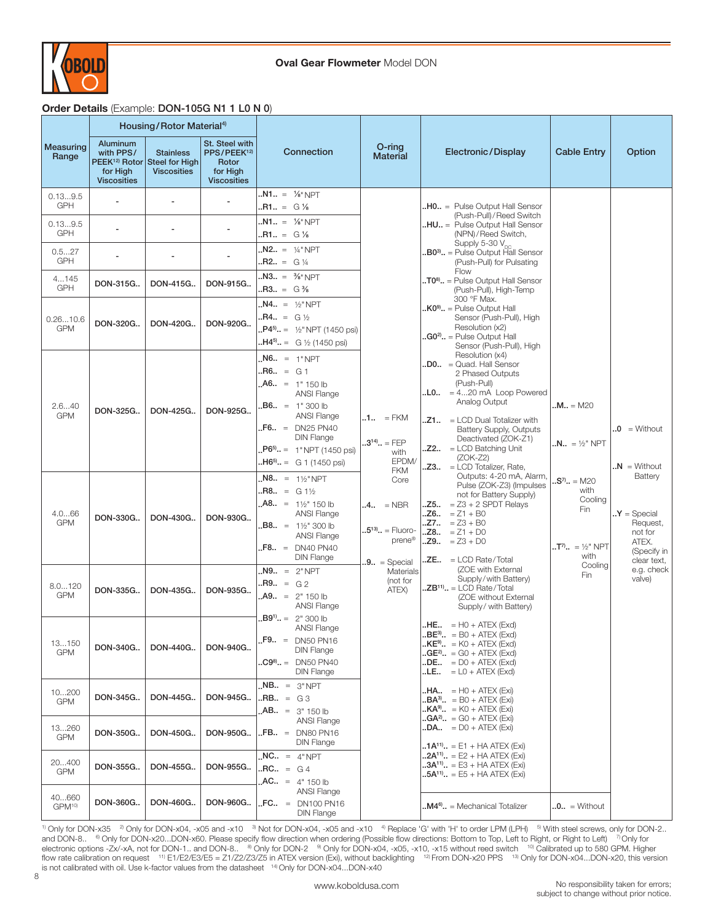

# Order Details (Example: DON-105G N1 1 L0 N 0)

|                             |                                                                                      | Housing/Rotor Material <sup>4)</sup>                     |                                                                                      |                                                                                                                                                                                                                 |                                                                                                 |                                                                                                                                                                                                                                                                                                                        |                                                                  |                                                                                        |
|-----------------------------|--------------------------------------------------------------------------------------|----------------------------------------------------------|--------------------------------------------------------------------------------------|-----------------------------------------------------------------------------------------------------------------------------------------------------------------------------------------------------------------|-------------------------------------------------------------------------------------------------|------------------------------------------------------------------------------------------------------------------------------------------------------------------------------------------------------------------------------------------------------------------------------------------------------------------------|------------------------------------------------------------------|----------------------------------------------------------------------------------------|
| Measuring<br>Range          | Aluminum<br>with PPS/<br>PEEK <sup>12)</sup> Rotor<br>for High<br><b>Viscosities</b> | <b>Stainless</b><br>Steel for High<br><b>Viscosities</b> | St. Steel with<br>PPS/PEEK <sup>12)</sup><br>Rotor<br>for High<br><b>Viscosities</b> | Connection                                                                                                                                                                                                      | O-ring<br><b>Material</b>                                                                       | Electronic/Display                                                                                                                                                                                                                                                                                                     | <b>Cable Entry</b>                                               | Option                                                                                 |
| 0.139.5<br><b>GPH</b>       |                                                                                      |                                                          | $\overline{a}$                                                                       | $.M1. = \frac{1}{8} \text{ NPT}$<br>$. R1. = G \%$                                                                                                                                                              |                                                                                                 | $.H0. =$ Pulse Output Hall Sensor                                                                                                                                                                                                                                                                                      |                                                                  |                                                                                        |
| 0.139.5<br><b>GPH</b>       | $\sim$                                                                               |                                                          |                                                                                      | $.M1. = \frac{1}{8} \text{ NPT}$<br>$.R1. = G \%$                                                                                                                                                               |                                                                                                 | (Push-Pull) / Reed Switch<br><b>HU</b> = Pulse Output Hall Sensor<br>(NPN)/Reed Switch,                                                                                                                                                                                                                                |                                                                  |                                                                                        |
| 0.527<br><b>GPH</b>         |                                                                                      |                                                          |                                                                                      | $N2.1 = 1/4$ " NPT<br>$.B. - 5 = 0.1/4$                                                                                                                                                                         |                                                                                                 | Supply 5-30 V <sub>nc</sub><br>$.B03$ . = Pulse Output Hall Sensor<br>(Push-Pull) for Pulsating                                                                                                                                                                                                                        |                                                                  |                                                                                        |
| 4145<br><b>GPH</b>          | DON-315G                                                                             | DON-415G                                                 | DON-915G                                                                             | $MS = 3/8" NPT$<br>$.R3 = G\%$                                                                                                                                                                                  |                                                                                                 | Flow<br>$.70$ <sup>8)</sup> $.1$ = Pulse Output Hall Sensor<br>(Push-Pull), High-Temp                                                                                                                                                                                                                                  |                                                                  |                                                                                        |
| 0.2610.6<br><b>GPM</b>      | DON-320G                                                                             | DON-420G                                                 | DON-920G                                                                             | $N4.1 = \frac{1}{2} NPT$<br>$R4 = G\frac{1}{2}$<br>$P4^{5} = \frac{1}{2}NPT(1450 \text{ psi})$<br>$.H45. = G \frac{1}{2} (1450 \text{ psi})$                                                                    |                                                                                                 | 300 °F Max.<br>$\mathbf{R} \mathbf{C}^{\mathsf{g}}$ . = Pulse Output Hall<br>Sensor (Push-Pull), High<br>Resolution (x2)<br>$\mathbf{a}.\mathbf{G0}^2$ = Pulse Output Hall<br>Sensor (Push-Pull), High                                                                                                                 |                                                                  |                                                                                        |
| 2.640<br><b>GPM</b>         | DON-325G                                                                             | DON-425G                                                 | DON-925G                                                                             | $N6. = 1"NPT$<br>$.B6. = G1$<br>$A6. = 1" 150 lb$<br>ANSI Flange<br>$B6. = 1" 300 lb$<br><b>ANSI Flange</b><br>$F6. = DN25 PN40$<br><b>DIN Flange</b><br>$P65. = 1" NPT (1450)$ psi)<br>$.H65 = G 1 (1450 psi)$ | $.1 = FKM$<br>$.3^{14}$ = FEP<br>with<br>EPDM/                                                  | Resolution (x4)<br>$.D0 = Quad. Hall Sensor$<br>2 Phased Outputs<br>(Push-Pull)<br>$.L0.1 = 420 \text{ mA}$ Loop Powered<br>Analog Output<br>$. Z1. . = LCD Dual Totalizer with$<br>Battery Supply, Outputs<br>Deactivated (ZOK-Z1)<br>$. Z2 = LCD$ Batching Unit<br>$(ZOK-Z2)$<br>$.23. = \dot{L}CD$ Totalizer, Rate, | <b>M</b> = M20<br>$N_{\cdot \cdot} = \frac{1}{2}$ NPT            | $.0 =$ Without<br>$\mathbf{N} = \text{Without}$                                        |
| 4.066<br><b>GPM</b>         | DON-330G                                                                             | DON-430G                                                 | DON-930G                                                                             | $MS. = 1\frac{1}{2}NPT$<br>$.B. . = G 1\frac{1}{2}$<br>$AB = 1\frac{1}{2}$ 150 lb<br><b>ANSI Flange</b><br><b>B8</b> = 1½" 300 lb<br><b>ANSI Flange</b><br>$F8.1 = DN40 PN40$<br><b>DIN Flange</b>              | <b>FKM</b><br>Core<br>$.4 = NBR$<br>$.5^{13}$ = Fluoro-<br>prene <sup>®</sup><br>$.9$ = Special | Outputs: 4-20 mA, Alarm,<br>Pulse (ZOK-Z3) (Impulses<br>not for Battery Supply)<br>$.25 = Z3 + 2$ SPDT Relays<br>$.26 = Z1 + B0$<br>$.27 = 23 + B0$<br>$.28 = 21 + D0$<br>$.29 = 23 + D0$<br>$ZE$ = LCD Rate/Total                                                                                                     | $.S7. = M20$<br>with<br>Cooling<br>Fin<br>$T^7$ = ½" NPT<br>with | Battery<br>$Y = Special$<br>Request,<br>not for<br>ATEX.<br>(Specify in<br>clear text, |
| 8.0120<br><b>GPM</b>        | DON-335G                                                                             | DON-435G                                                 | DON-935G                                                                             | $N9.1 = 2"NPT$<br>$.B. - 5 = 62$<br>$A9. = 2^{\circ} 150$ lb<br><b>ANSI Flange</b>                                                                                                                              | Materials<br>(not for<br>ATEX)                                                                  | (ZOE with External<br>Supply/with Battery)<br>$. ZB11$ = LCD Rate/Total<br>(ZOE without External<br>Supply/ with Battery)                                                                                                                                                                                              | Cooling<br>Fin                                                   | e.g. check<br>valve)                                                                   |
| 13150<br><b>GPM</b>         | DON-340G                                                                             | DON-440G                                                 | DON-940G                                                                             | $.B91 = 2n 300 lb$<br><b>ANSI Flange</b><br><b>.F9</b> = DN50 PN16<br><b>DIN Flange</b><br>$\text{.}C9^8$ = DN50 PN40<br><b>DIN Flange</b>                                                                      |                                                                                                 | $H = H0 + ATEX$ (Exd)<br>$\cdot$ <b>BE<sup>3</sup></b> = B0 + ATEX (Exd)<br>$K E^{9}$ = K0 + ATEX (Exd)<br>$GE^{2}$ . = GO + ATEX (Exd)<br>$\mathbf{.DE.} = \mathsf{D0} + \mathsf{ATEX}$ (Exd)<br>$L.E., = L0 + ATEX (Exd)$                                                                                            |                                                                  |                                                                                        |
| 10200<br><b>GPM</b>         | DON-345G                                                                             | DON-445G                                                 | DON-945G                                                                             | $M = 3"NPT$<br>$.B. = G3$<br>$AB = 3" 150 lb$                                                                                                                                                                   |                                                                                                 | $.HA., = HO + ATEX (Exi)$<br>$B\mathsf{A}^{3}$ . = B0 + ATEX (Exi)<br>$\mathbf{L} \mathbf{K} \mathbf{A}^{\mathsf{g}}$ , = K0 + ATEX (Exi)                                                                                                                                                                              |                                                                  |                                                                                        |
| 13260<br><b>GPM</b>         | DON-350G                                                                             | DON-450G                                                 | DON-950G                                                                             | <b>ANSI Flange</b><br>$FB. = DNSO PNI6$<br>DIN Flange                                                                                                                                                           |                                                                                                 | $\mathbf{G}A^{2}$ = G0 + ATEX (Exi)<br>$.$ <b>DA</b> = D0 + ATEX (Exi)                                                                                                                                                                                                                                                 |                                                                  |                                                                                        |
| 20400<br><b>GPM</b>         | DON-355G                                                                             | DON-455G.                                                | DON-955G                                                                             | $.NC. = 4"NPT$<br>$.BC., = G4$<br>AC = $4" 150 lb$                                                                                                                                                              |                                                                                                 | $\mathbf{A}^{(1)} = \mathbf{E} \mathbf{1} + \mathbf{H} \mathbf{A} \mathbf{A} \mathbf{T} \mathbf{E} \mathbf{X}$ (Exi)<br>$.2A^{11}$ = E2 + HA ATEX (Exi)<br>$3A^{11} = E3 + HA ATEX (Exi)$<br>$.5A^{11}$ . = E5 + HA ATEX (Exi)                                                                                         |                                                                  |                                                                                        |
| 40660<br>GPM <sup>10)</sup> | DON-360G                                                                             | DON-460G.                                                | DON-960G                                                                             | <b>ANSI Flange</b><br>$.FC. = DN100 PN16$<br><b>DIN Flange</b>                                                                                                                                                  |                                                                                                 | $\mathbf{M4}^\mathbf{6}\mathbf{}$ = Mechanical Totalizer                                                                                                                                                                                                                                                               | $.0.1 = \text{Without}$                                          |                                                                                        |

<sup>1)</sup> Only for DON-x35 <sup>2)</sup> Only for DON-x04, -x05 and -x10 <sup>3</sup> Not for DON-x04, -x05 and -x10 <sup>4)</sup> Replace 'G' with 'H' to order LPM (LPH) <sup>5)</sup> With steel screws, only for DON-2.. and DON-8.. <sup>6)</sup> Only for DON-x20...DON-x60. Please specify flow direction when ordering (Possible flow directions: Bottom to Top, Left to Right, or Right to Left) <sup>7</sup> Only for electronic options -Zx/-xA, not for DON-1.. and DON-8.. <sup>8)</sup> Only for DON-2 <sup>9</sup> Only for DON-x04, -x05, -x10, -x15 without reed switch <sup>10)</sup> Calibrated up to 580 GPM. Higher flow rate calibration on request <sup>11)</sup> E1/E2/E3/E5 = Z1/Z2/Z3/Z5 in ATEX version (Exi), without backlighting <sup>12)</sup> From DON-x20 PPS <sup>13)</sup> Only for DON-x04...DON-x20, this version is not calibrated with oil. Use k-factor values from the datasheet 14) Only for DON-x04...DON-x40